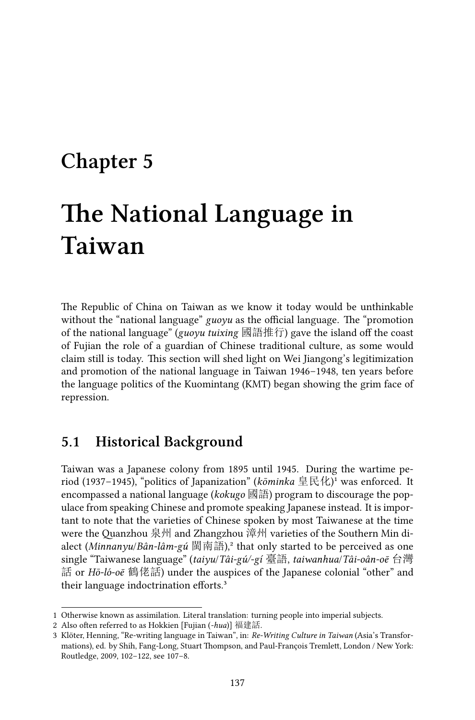# **Chapter 5**

# **The National Language in Taiwan**

The Republic of China on Taiwan as we know it today would be unthinkable without the "national language" *guoyu* as the official language. The "promotion of the national language" (*guoyu tuixing* 國語推行) gave the island off the coast of Fujian the role of a guardian of Chinese traditional culture, as some would claim still is today. This section will shed light on Wei Jiangong's legitimization and promotion of the national language in Taiwan 1946–1948, ten years before the language politics of the Kuomintang (KMT) began showing the grim face of repression.

### **5.1 Historical Background**

Taiwan was a Japanese colony from 1895 until 1945. During the wartime period (1937-1945), "politics of Japanization" (*kōminka* 皇民化)<sup>1</sup> was enforced. It encompassed a national language (*kokugo* 國語) program to discourage the populace from speaking Chinese and promote speaking Japanese instead. It is important to note that the varieties of Chinese spoken by most Taiwanese at the time were the Quanzhou 泉州 and Zhangzhou 漳州 varieties of the Southern Min dialect (*Minnanyu*/*Bân-lâm-gú* 閩南語),² that only started to be perceived as one single "Taiwanese language" (*taiyu*/*Tâi-gú/-gí* 臺語, *taiwanhua*/*Tâi-oân-oē* 台灣 話 or *Hō-ló-oē* 鶴佬話) under the auspices of the Japanese colonial "other" and their language indoctrination efforts.<sup>3</sup>

<sup>1</sup> Otherwise known as assimilation. Literal translation: turning people into imperial subjects.

<sup>2</sup> Also often referred to as Hokkien [Fujian (*-hua*)] 福建話.

<sup>3</sup> Klöter, Henning, "Re-writing language in Taiwan", in: *Re-Writing Culture in Taiwan* (Asia's Transformations), ed. by Shih, Fang-Long, Stuart Thompson, and Paul-François Tremlett, London / New York: Routledge, 2009, 102–122, see 107–8.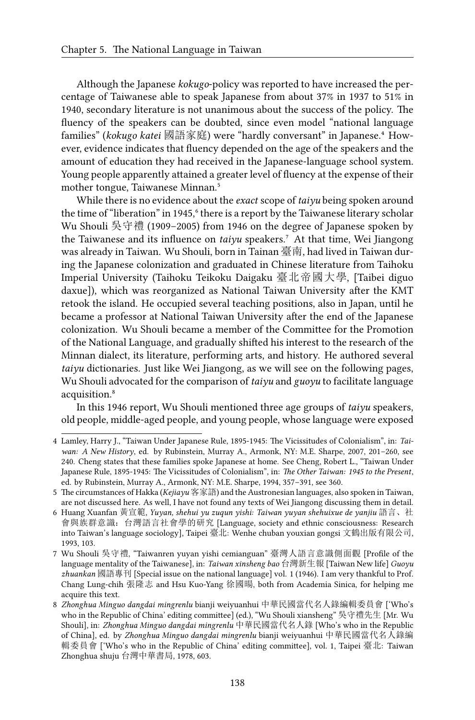Although the Japanese *kokugo*-policy was reported to have increased the percentage of Taiwanese able to speak Japanese from about 37% in 1937 to 51% in 1940, secondary literature is not unanimous about the success of the policy. The fluency of the speakers can be doubted, since even model "national language families" (*kokugo katei* 國語家庭) were "hardly conversant" in Japanese.⁴ However, evidence indicates that fluency depended on the age of the speakers and the amount of education they had received in the Japanese-language school system. Young people apparently attained a greater level of fluency at the expense of their mother tongue, Taiwanese Minnan.<sup>5</sup>

While there is no evidence about the *exact* scope of *taiyu* being spoken around the time of "liberation" in 1945, "there is a report by the Taiwanese literary scholar Wu Shouli 吳守禮 (1909–2005) from 1946 on the degree of Japanese spoken by the Taiwanese and its influence on *taiyu* speakers.<sup>7</sup> At that time, Wei Jiangong was already in Taiwan. Wu Shouli, born in Tainan 臺南, had lived in Taiwan during the Japanese colonization and graduated in Chinese literature from Taihoku Imperial University (Taihoku Teikoku Daigaku 臺北帝國大學, [Taibei diguo daxue]), which was reorganized as National Taiwan University after the KMT retook the island. He occupied several teaching positions, also in Japan, until he became a professor at National Taiwan University after the end of the Japanese colonization. Wu Shouli became a member of the Committee for the Promotion of the National Language, and gradually shifted his interest to the research of the Minnan dialect, its literature, performing arts, and history. He authored several *taiyu* dictionaries. Just like Wei Jiangong, as we will see on the following pages, Wu Shouli advocated for the comparison of *taiyu* and *guoyu* to facilitate language acquisition.⁸

In this 1946 report, Wu Shouli mentioned three age groups of *taiyu* speakers, old people, middle-aged people, and young people, whose language were exposed

<sup>4</sup> Lamley, Harry J., "Taiwan Under Japanese Rule, 1895-1945: The Vicissitudes of Colonialism", in: *Taiwan: A New History*, ed. by Rubinstein, Murray A., Armonk, NY: M.E. Sharpe, 2007, 201–260, see 240. Cheng states that these families spoke Japanese at home. See Cheng, Robert L., "Taiwan Under Japanese Rule, 1895-1945: The Vicissitudes of Colonialism", in: *The Other Taiwan: 1945 to the Present*, ed. by Rubinstein, Murray A., Armonk, NY: M.E. Sharpe, 1994, 357–391, see 360.

<sup>5</sup> The circumstances of Hakka (*Kejiayu* 客家語) and the Austronesian languages, also spoken in Taiwan, are not discussed here. As well, I have not found any texts of Wei Jiangong discussing them in detail.

<sup>6</sup> Huang Xuanfan 黃宣範, *Yuyan, shehui yu zuqun yishi: Taiwan yuyan shehuixue de yanjiu* 語言、社 會與族群意識:台灣語言社會學的研究 [Language, society and ethnic consciousness: Research into Taiwan's language sociology], Taipei 臺北: Wenhe chuban youxian gongsi 文鶴出版有限公司, 1993, 103.

<sup>7</sup> Wu Shouli 吳守禮, "Taiwanren yuyan yishi cemianguan" 臺灣人語言意識側面觀 [Profile of the language mentality of the Taiwanese], in: *Taiwan xinsheng bao* 台灣新生報 [Taiwan New life] *Guoyu zhuankan* 國語專刊 [Special issue on the national language] vol. 1 (1946). I am very thankful to Prof. Chang Lung-chih 張隆志 and Hsu Kuo-Yang 徐國暘, both from Academia Sinica, for helping me acquire this text.

<sup>8</sup> *Zhonghua Minguo dangdai mingrenlu* bianji weiyuanhui 中華民國當代名人錄編輯委員會 ['Who's who in the Republic of China' editing committee] (ed.), "Wu Shouli xiansheng" 吳守禮先生 [Mr. Wu Shouli], in: *Zhonghua Minguo dangdai mingrenlu* 中華民國當代名人錄 [Who's who in the Republic of China], ed. by *Zhonghua Minguo dangdai mingrenlu* bianji weiyuanhui 中華民國當代名人錄編 輯委員會 ['Who's who in the Republic of China' editing committee], vol. 1, Taipei 臺北: Taiwan Zhonghua shuju 台灣中華書局, 1978, 603.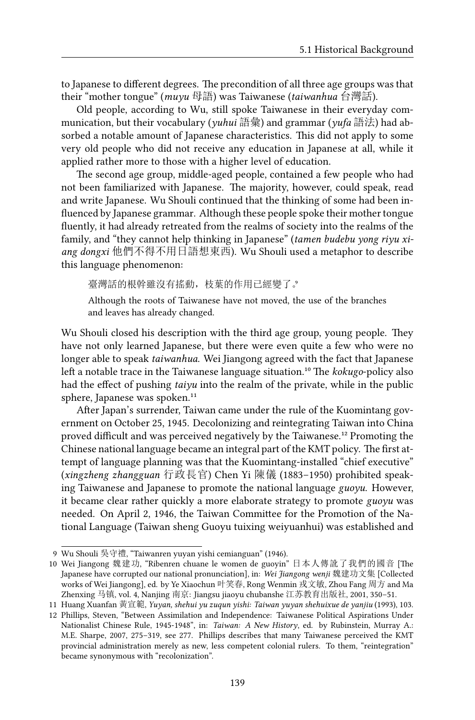to Japanese to different degrees. The precondition of all three age groups was that their "mother tongue" (*muyu* 母語) was Taiwanese (*taiwanhua* 台灣話).

Old people, according to Wu, still spoke Taiwanese in their everyday communication, but their vocabulary (*yuhui* 語彙) and grammar (*yufa* 語法) had absorbed a notable amount of Japanese characteristics. This did not apply to some very old people who did not receive any education in Japanese at all, while it applied rather more to those with a higher level of education.

The second age group, middle-aged people, contained a few people who had not been familiarized with Japanese. The majority, however, could speak, read and write Japanese. Wu Shouli continued that the thinking of some had been influenced by Japanese grammar. Although these people spoke their mother tongue fluently, it had already retreated from the realms of society into the realms of the family, and "they cannot help thinking in Japanese" (*tamen budebu yong riyu xiang dongxi* 他們不得不用日語想東西). Wu Shouli used a metaphor to describe this language phenomenon:

臺灣話的根幹雖沒有搖動,枝葉的作用已經變了。

Although the roots of Taiwanese have not moved, the use of the branches and leaves has already changed.

Wu Shouli closed his description with the third age group, young people. They have not only learned Japanese, but there were even quite a few who were no longer able to speak *taiwanhua*. Wei Jiangong agreed with the fact that Japanese left a notable trace in the Taiwanese language situation.<sup>10</sup> The *kokugo-policy* also had the effect of pushing *taiyu* into the realm of the private, while in the public sphere, Japanese was spoken.<sup>11</sup>

After Japan's surrender, Taiwan came under the rule of the Kuomintang government on October 25, 1945. Decolonizing and reintegrating Taiwan into China proved difficult and was perceived negatively by the Taiwanese.<sup>12</sup> Promoting the Chinese national language became an integral part of the KMT policy. The first attempt of language planning was that the Kuomintang-installed "chief executive" (*xingzheng zhangguan* 行政長官) Chen Yi 陳儀 (1883–1950) prohibited speaking Taiwanese and Japanese to promote the national language *guoyu*. However, it became clear rather quickly a more elaborate strategy to promote *guoyu* was needed. On April 2, 1946, the Taiwan Committee for the Promotion of the National Language (Taiwan sheng Guoyu tuixing weiyuanhui) was established and

<sup>9</sup> Wu Shouli 吳守禮, "Taiwanren yuyan yishi cemianguan" (1946).

<sup>10</sup> Wei Jiangong 魏建功, "Ribenren chuane le women de guoyin" 日本人傳訛了我們的國音 [The Japanese have corrupted our national pronunciation], in: *Wei Jiangong wenji* 魏建功文集 [Collected works of Wei Jiangong], ed. by Ye Xiaochun 叶笑春, Rong Wenmin 戎文敏, Zhou Fang 周方 and Ma Zhenxing 马镇, vol. 4, Nanjing 南京: Jiangsu jiaoyu chubanshe 江苏教育出版社, 2001, 350–51.

<sup>11</sup> Huang Xuanfan 黃宣範, *Yuyan, shehui yu zuqun yishi: Taiwan yuyan shehuixue de yanjiu* (1993), 103.

<sup>12</sup> Phillips, Steven, "Between Assimilation and Independence: Taiwanese Political Aspirations Under Nationalist Chinese Rule, 1945-1948", in: *Taiwan: A New History*, ed. by Rubinstein, Murray A.: M.E. Sharpe, 2007, 275–319, see 277. Phillips describes that many Taiwanese perceived the KMT provincial administration merely as new, less competent colonial rulers. To them, "reintegration" became synonymous with "recolonization".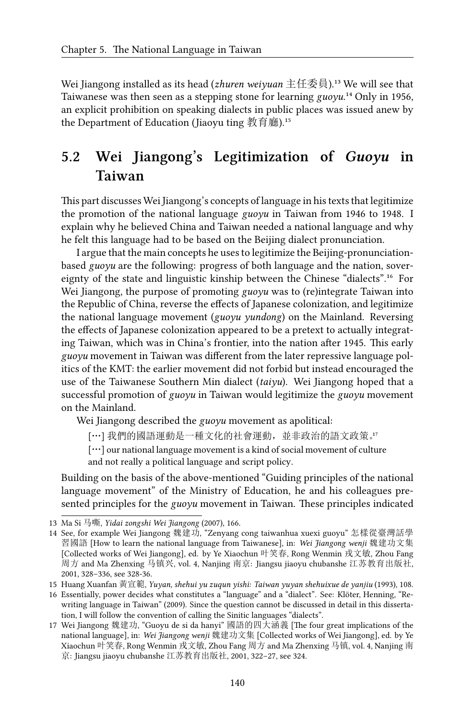Wei Jiangong installed as its head (*zhuren weiyuan* 主任委員).<sup>13</sup> We will see that Taiwanese was then seen as a stepping stone for learning  $\mu v \nu^{14}$  Only in 1956, an explicit prohibition on speaking dialects in public places was issued anew by the Department of Education (Jiaoyu ting 教育廳). $15$ 

# **5.2 Wei Jiangong's Legitimization of** *Guoyu* **in Taiwan**

This part discusses Wei Jiangong's concepts of language in his texts that legitimize the promotion of the national language *guoyu* in Taiwan from 1946 to 1948. I explain why he believed China and Taiwan needed a national language and why he felt this language had to be based on the Beijing dialect pronunciation.

I argue that the main concepts he uses to legitimize the Beijing-pronunciationbased *guoyu* are the following: progress of both language and the nation, sovereignty of the state and linguistic kinship between the Chinese "dialects".<sup>16</sup> For Wei Jiangong, the purpose of promoting *guoyu* was to (re)integrate Taiwan into the Republic of China, reverse the effects of Japanese colonization, and legitimize the national language movement (*guoyu yundong*) on the Mainland. Reversing the effects of Japanese colonization appeared to be a pretext to actually integrating Taiwan, which was in China's frontier, into the nation after 1945. This early *guoyu* movement in Taiwan was different from the later repressive language politics of the KMT: the earlier movement did not forbid but instead encouraged the use of the Taiwanese Southern Min dialect (*taiyu*). Wei Jiangong hoped that a successful promotion of *guoyu* in Taiwan would legitimize the *guoyu* movement on the Mainland.

Wei Jiangong described the *guoyu* movement as apolitical:

[…] 我們的國語運動是一種文化的社會運動, 並非政治的語文政策。"

[…] our national language movement is a kind of social movement of culture and not really a political language and script policy.

Building on the basis of the above-mentioned "Guiding principles of the national language movement" of the Ministry of Education, he and his colleagues presented principles for the *guoyu* movement in Taiwan. These principles indicated

<sup>13</sup> Ma Si 马嘶, *Yidai zongshi Wei Jiangong* (2007), 166.

<sup>14</sup> See, for example Wei Jiangong 魏建功, "Zenyang cong taiwanhua xuexi guoyu" 怎樣從臺灣話學 習國語 [How to learn the national language from Taiwanese], in: *Wei Jiangong wenji* 魏建功文集 [Collected works of Wei Jiangong], ed. by Ye Xiaochun 叶笑春, Rong Wenmin 戎文敏, Zhou Fang 周方 and Ma Zhenxing 马镇兴, vol. 4, Nanjing 南京: Jiangsu jiaoyu chubanshe 江苏教育出版社, 2001, 328–336, see 328-36.

<sup>15</sup> Huang Xuanfan 黃宣範, *Yuyan, shehui yu zuqun yishi: Taiwan yuyan shehuixue de yanjiu* (1993), 108.

<sup>16</sup> Essentially, power decides what constitutes a "language" and a "dialect". See: Klöter, Henning, "Rewriting language in Taiwan" (2009). Since the question cannot be discussed in detail in this dissertation, I will follow the convention of calling the Sinitic languages "dialects".

<sup>17</sup> Wei Jiangong 魏建功, "Guoyu de si da hanyi" 國語的四大涵義 [The four great implications of the national language], in: *Wei Jiangong wenji* 魏建功文集 [Collected works of Wei Jiangong], ed. by Ye Xiaochun 叶笑春, Rong Wenmin 戎文敏, Zhou Fang 周方 and Ma Zhenxing 马镇, vol. 4, Nanjing 南 京: Jiangsu jiaoyu chubanshe 江苏教育出版社, 2001, 322–27, see 324.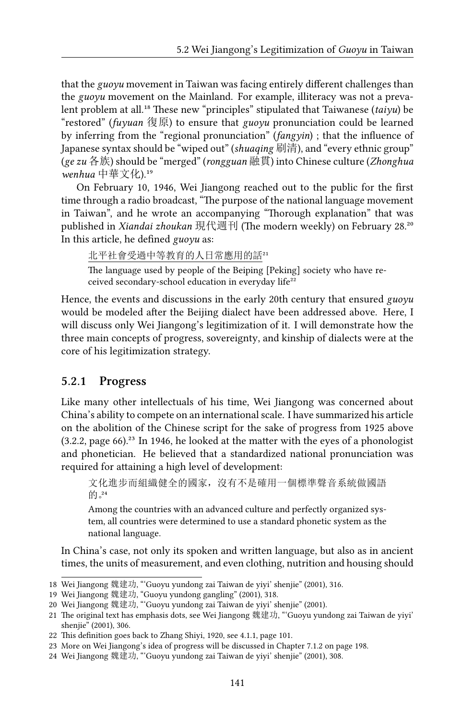that the *guoyu* movement in Taiwan was facing entirely different challenges than the *guoyu* movement on the Mainland. For example, illiteracy was not a prevalent problem at all.<sup>18</sup> These new "principles" stipulated that Taiwanese (taiyu) be "restored" (*fuyuan* 復原) to ensure that *guoyu* pronunciation could be learned by inferring from the "regional pronunciation" (*fangyin*) ; that the influence of Japanese syntax should be "wiped out" (*shuaqing* 刷清), and "every ethnic group" (*ge zu* 各族) should be "merged" (*rongguan* 融貫) into Chinese culture (*Zhonghua* wenhua 中華文化).<sup>19</sup>

On February 10, 1946, Wei Jiangong reached out to the public for the first time through a radio broadcast, "The purpose of the national language movement in Taiwan", and he wrote an accompanying "Thorough explanation" that was published in *Xiandai zhoukan* 現代週刊 (The modern weekly) on February 28.<sup>20</sup> In this article, he defined *guoyu* as:

北平社會受過中等教育的人日常應用的話21

The language used by people of the Beiping [Peking] society who have received secondary-school education in everyday life<sup>22</sup>

Hence, the events and discussions in the early 20th century that ensured *guoyu* would be modeled after the Beijing dialect have been addressed above. Here, I will discuss only Wei Jiangong's legitimization of it. I will demonstrate how the three main concepts of progress, sovereignty, and kinship of dialects were at the core of his legitimization strategy.

#### **5.2.1 Progress**

Like many other intellectuals of his time, Wei Jiangong was concerned about China's ability to compete on an international scale. I have summarized his article on the abolition of the Chinese script for the sake of progress from 1925 above  $(3.2.2, \text{page 66})^{23}$  In 1946, he looked at the matter with the eyes of a phonologist and phonetician. He believed that a standardized national pronunciation was required for attaining a high level of development:

文化進步而組織健全的國家,沒有不是確用一個標準聲音系統做國語  $\mathrm{M}$  $^{24}$ 

Among the countries with an advanced culture and perfectly organized system, all countries were determined to use a standard phonetic system as the national language.

In China's case, not only its spoken and written language, but also as in ancient times, the units of measurement, and even clothing, nutrition and housing should

<sup>18</sup> Wei Jiangong 魏建功, "'Guoyu yundong zai Taiwan de yiyi' shenjie" (2001), 316.

<sup>19</sup> Wei Jiangong 魏建功, "Guoyu yundong gangling" (2001), 318.

<sup>20</sup> Wei Jiangong 魏建功, "'Guoyu yundong zai Taiwan de yiyi' shenjie" (2001).

<sup>21</sup> The original text has emphasis dots, see Wei Jiangong 魏建功, "'Guoyu yundong zai Taiwan de yiyi' shenjie" (2001), 306.

<sup>22</sup> This definition goes back to Zhang Shiyi, 1920, see 4.1.1, page 101.

<sup>23</sup> More on Wei Jiangong's idea of progress will be discussed in Chapter 7.1.2 on page 198.

<sup>24</sup> Wei Jiangong 魏建功, "'Guoyu yundong zai Taiwan de yiyi' shenjie" (2001), 308.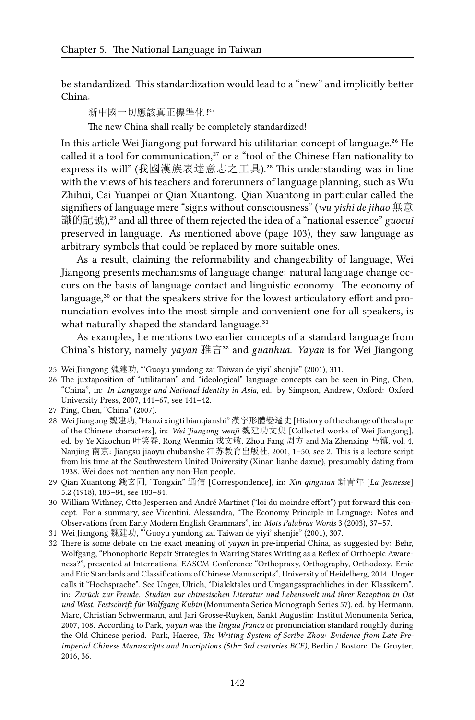be standardized. This standardization would lead to a "new" and implicitly better China:

新中國一切應該真正標準化 !<sup>25</sup>

The new China shall really be completely standardized!

In this article Wei Jiangong put forward his utilitarian concept of language.<sup>26</sup> He called it a tool for communication,<sup>27</sup> or a "tool of the Chinese Han nationality to express its will" (我國漢族表達意志之工具).²⁸ This understanding was in line with the views of his teachers and forerunners of language planning, such as Wu Zhihui, Cai Yuanpei or Qian Xuantong. Qian Xuantong in particular called the signifiers of language mere "signs without consciousness" (*wu yishi de jihao* 無意 識的記號),<sup>29</sup> and all three of them rejected the idea of a "national essence" *guocui* preserved in language. As mentioned above (page 103), they saw language as arbitrary symbols that could be replaced by more suitable ones.

As a result, claiming the reformability and changeability of language, Wei Jiangong presents mechanisms of language change: natural language change occurs on the basis of language contact and linguistic economy. The economy of language,<sup>30</sup> or that the speakers strive for the lowest articulatory effort and pronunciation evolves into the most simple and convenient one for all speakers, is what naturally shaped the standard language.<sup>31</sup>

As examples, he mentions two earlier concepts of a standard language from China's history, namely *yayan* 雅言³² and *guanhua*. *Yayan* is for Wei Jiangong

<sup>25</sup> Wei Jiangong 魏建功, "'Guoyu yundong zai Taiwan de yiyi' shenjie" (2001), 311.

<sup>26</sup> The juxtaposition of "utilitarian" and "ideological" language concepts can be seen in Ping, Chen, "China", in: *In Language and National Identity in Asia*, ed. by Simpson, Andrew, Oxford: Oxford University Press, 2007, 141–67, see 141–42.

<sup>27</sup> Ping, Chen, "China" (2007).

<sup>28</sup> Wei Jiangong 魏建功, "Hanzi xingti bianqianshi" 漢字形體變遷史 [History of the change of the shape of the Chinese characters], in: *Wei Jiangong wenji* 魏建功文集 [Collected works of Wei Jiangong], ed. by Ye Xiaochun 叶笑春, Rong Wenmin 戎文敏, Zhou Fang 周方 and Ma Zhenxing 马镇, vol. 4, Nanjing 南京: Jiangsu jiaoyu chubanshe 江苏教育出版社, 2001, 1–50, see 2. This is a lecture script from his time at the Southwestern United University (Xinan lianhe daxue), presumably dating from 1938. Wei does not mention any non-Han people.

<sup>29</sup> Qian Xuantong 錢玄同, "Tongxin" 通信 [Correspondence], in: *Xin qingnian* 新青年 [*La Jeunesse*] 5.2 (1918), 183–84, see 183–84.

<sup>30</sup> William Withney, Otto Jespersen and André Martinet ("loi du moindre effort") put forward this concept. For a summary, see Vicentini, Alessandra, "The Economy Principle in Language: Notes and Observations from Early Modern English Grammars", in: *Mots Palabras Words* 3 (2003), 37–57.

<sup>31</sup> Wei Jiangong 魏建功, "'Guoyu yundong zai Taiwan de yiyi' shenjie" (2001), 307.

<sup>32</sup> There is some debate on the exact meaning of *yayan* in pre-imperial China, as suggested by: Behr, Wolfgang, "Phonophoric Repair Strategies in Warring States Writing as a Reflex of Orthoepic Awareness?", presented at International EASCM-Conference "Orthopraxy, Orthography, Orthodoxy. Emic and Etic Standards and Classifications of Chinese Manuscripts", University of Heidelberg, 2014. Unger calls it "Hochsprache". See Unger, Ulrich, "Dialektales und Umgangssprachliches in den Klassikern", in: *Zurück zur Freude. Studien zur chinesischen Literatur und Lebenswelt und ihrer Rezeption in Ost und West. Festschrift für Wolfgang Kubin* (Monumenta Serica Monograph Series 57), ed. by Hermann, Marc, Christian Schwermann, and Jari Grosse-Ruyken, Sankt Augustin: Institut Monumenta Serica, 2007, 108. According to Park, *yayan* was the *lingua franca* or pronunciation standard roughly during the Old Chinese period. Park, Haeree, *The Writing System of Scribe Zhou: Evidence from Late Preimperial Chinese Manuscripts and Inscriptions (5th*–*3rd centuries BCE)*, Berlin / Boston: De Gruyter, 2016, 36.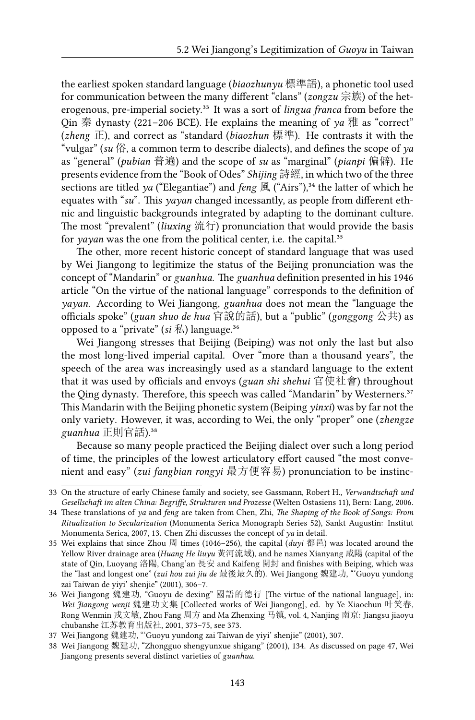the earliest spoken standard language (*biaozhunyu* 標準語), a phonetic tool used for communication between the many different "clans" (*zongzu* 宗族) of the heterogenous, pre-imperial society.<sup>33</sup> It was a sort of *lingua franca* from before the Qin 秦 dynasty (221–206 BCE). He explains the meaning of *ya* 雅 as "correct" (*zheng* 正), and correct as "standard (*biaozhun* 標準). He contrasts it with the "vulgar" ( $su \nleftrightarrow$ ), a common term to describe dialects), and defines the scope of  $\gamma a$ as "general" (*pubian* 普遍) and the scope of *su* as "marginal" (*pianpi* 偏僻). He presents evidence from the "Book of Odes" *Shijing* 詩經, in which two of the three sections are titled *ya* ("Elegantiae") and *feng*  $\mathbb{R}$  ("Airs"),<sup>34</sup> the latter of which he equates with "*su*". This *yayan* changed incessantly, as people from different ethnic and linguistic backgrounds integrated by adapting to the dominant culture. The most "prevalent" (*liuxing* 流行) pronunciation that would provide the basis for *yayan* was the one from the political center, i.e. the capital.<sup>35</sup>

The other, more recent historic concept of standard language that was used by Wei Jiangong to legitimize the status of the Beijing pronunciation was the concept of "Mandarin" or *guanhua*. The *guanhua* definition presented in his 1946 article "On the virtue of the national language" corresponds to the definition of *yayan*. According to Wei Jiangong, *guanhua* does not mean the "language the officials spoke" (*guan shuo de hua* 官說的話), but a "public" (*gonggong* 公共) as opposed to a "private"  $(ii \cancel{11}]$  language.<sup>36</sup>

Wei Jiangong stresses that Beijing (Beiping) was not only the last but also the most long-lived imperial capital. Over "more than a thousand years", the speech of the area was increasingly used as a standard language to the extent that it was used by officials and envoys (*guan shi shehui* 官使社會) throughout the Qing dynasty. Therefore, this speech was called "Mandarin" by Westerners.<sup>37</sup> This Mandarin with the Beijing phonetic system (Beiping *yinxi*) was by far not the only variety. However, it was, according to Wei, the only "proper" one (*zhengze* guanhua 正則官話).<sup>38</sup>

Because so many people practiced the Beijing dialect over such a long period of time, the principles of the lowest articulatory effort caused "the most convenient and easy" (*zui fangbian rongyi* 最方便容易) pronunciation to be instinc-

<sup>33</sup> On the structure of early Chinese family and society, see Gassmann, Robert H., *Verwandtschaft und Gesellschaft im alten China: Begriffe, Strukturen und Prozesse* (Welten Ostasiens 11), Bern: Lang, 2006.

<sup>34</sup> These translations of *ya* and *feng* are taken from Chen, Zhi, *The Shaping of the Book of Songs: From Ritualization to Secularization* (Monumenta Serica Monograph Series 52), Sankt Augustin: Institut Monumenta Serica, 2007, 13. Chen Zhi discusses the concept of *ya* in detail.

<sup>35</sup> Wei explains that since Zhou 周 times (1046–256), the capital  $(duyi$  都邑) was located around the Yellow River drainage area (*Huang He liuyu* 黃河流域), and he names Xianyang 咸陽 (capital of the state of Qin, Luoyang 洛陽, Chang'an 長安 and Kaifeng 開封 and finishes with Beiping, which was the "last and longest one" (*zui hou zui jiu de* 最後最久的). Wei Jiangong 魏建功, "'Guoyu yundong zai Taiwan de yiyi' shenjie" (2001), 306–7.

<sup>36</sup> Wei Jiangong 魏建功, "Guoyu de dexing" 國語的德行 [The virtue of the national language], in: *Wei Jiangong wenji* 魏建功文集 [Collected works of Wei Jiangong], ed. by Ye Xiaochun 叶笑春, Rong Wenmin 戎文敏, Zhou Fang 周方 and Ma Zhenxing 马镇, vol. 4, Nanjing 南京: Jiangsu jiaoyu chubanshe 江苏教育出版社, 2001, 373–75, see 373.

<sup>37</sup> Wei Jiangong 魏建功, "'Guoyu yundong zai Taiwan de yiyi' shenjie" (2001), 307.

<sup>38</sup> Wei Jiangong 魏建功, "Zhongguo shengyunxue shigang" (2001), 134. As discussed on page 47, Wei Jiangong presents several distinct varieties of *guanhua*.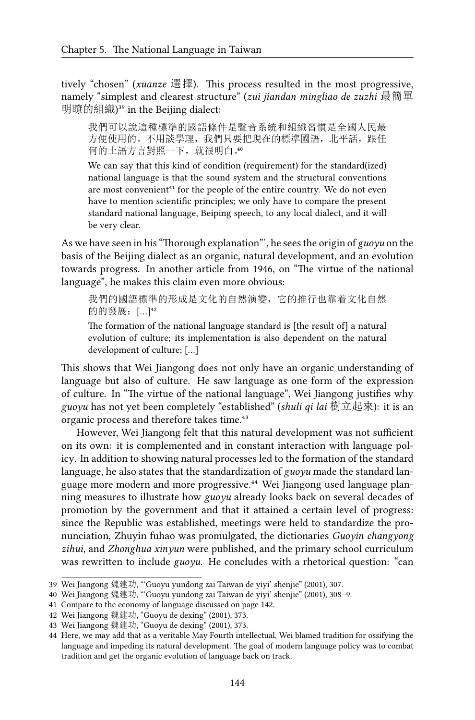tively "chosen" (*xuanze* 選擇). This process resulted in the most progressive, namely "simplest and clearest structure" (*zui jiandan mingliao de zuzhi* 最簡單 明瞭的組織)<sup>39</sup> in the Beijing dialect:

我們可以說這種標準的國語條件是聲音系統和組織習慣是全國人民最 方便使用的。不用談學理,我們只要把現在的標準國語,北平話,跟任 何的土語方言對照一下, 就很明白。

We can say that this kind of condition (requirement) for the standard(ized) national language is that the sound system and the structural conventions are most convenient<sup>41</sup> for the people of the entire country. We do not even have to mention scientific principles; we only have to compare the present standard national language, Beiping speech, to any local dialect, and it will be very clear.

As we have seen in his "Thorough explanation"', he sees the origin of *guoyu* on the basis of the Beijing dialect as an organic, natural development, and an evolution towards progress. In another article from 1946, on "The virtue of the national language", he makes this claim even more obvious:

我們的國語標準的形成是文化的自然演變,它的推行也靠着文化自然 的的發展; […]<sup>42</sup>

The formation of the national language standard is [the result of] a natural evolution of culture; its implementation is also dependent on the natural development of culture; […]

This shows that Wei Jiangong does not only have an organic understanding of language but also of culture. He saw language as one form of the expression of culture. In "The virtue of the national language", Wei Jiangong justifies why *guoyu* has not yet been completely "established" (*shuli qi lai* 樹立起來): it is an organic process and therefore takes time.<sup>43</sup>

However, Wei Jiangong felt that this natural development was not sufficient on its own: it is complemented and in constant interaction with language policy. In addition to showing natural processes led to the formation of the standard language, he also states that the standardization of *guoyu* made the standard language more modern and more progressive.<sup>44</sup> Wei Jiangong used language planning measures to illustrate how *guoyu* already looks back on several decades of promotion by the government and that it attained a certain level of progress: since the Republic was established, meetings were held to standardize the pronunciation, Zhuyin fuhao was promulgated, the dictionaries *Guoyin changyong zihui*, and *Zhonghua xinyun* were published, and the primary school curriculum was rewritten to include *guoyu*. He concludes with a rhetorical question: "can

<sup>39</sup> Wei Jiangong 魏建功, "'Guoyu yundong zai Taiwan de yiyi' shenjie" (2001), 307.

<sup>40</sup> Wei Jiangong 魏建功, "'Guoyu yundong zai Taiwan de yiyi' shenjie" (2001), 308–9.

<sup>41</sup> Compare to the economy of language discussed on page 142.

<sup>42</sup> Wei Jiangong 魏建功, "Guoyu de dexing" (2001), 373.

<sup>43</sup> Wei Jiangong 魏建功, "Guoyu de dexing" (2001), 373.

<sup>44</sup> Here, we may add that as a veritable May Fourth intellectual, Wei blamed tradition for ossifying the language and impeding its natural development. The goal of modern language policy was to combat tradition and get the organic evolution of language back on track.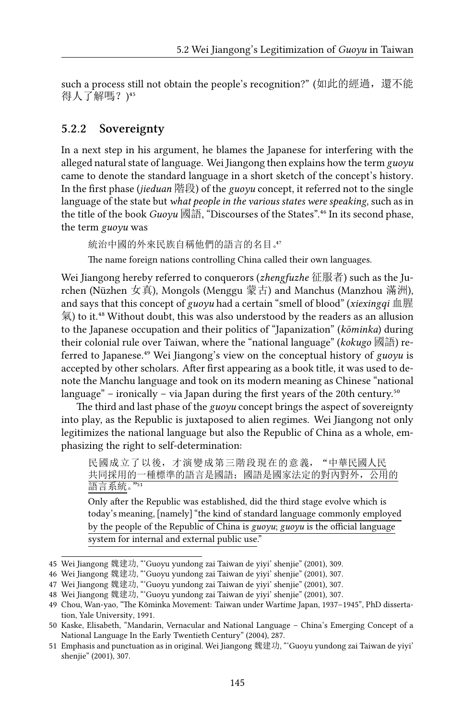such a process still not obtain the people's recognition?" (如此的經過,還不能 得人了解嗎?)45

#### **5.2.2 Sovereignty**

In a next step in his argument, he blames the Japanese for interfering with the alleged natural state of language. Wei Jiangong then explains how the term *guoyu* came to denote the standard language in a short sketch of the concept's history. In the first phase (*jieduan* 階段) of the *guoyu* concept, it referred not to the single language of the state but *what people in the various states were speaking*, such as in the title of the book *Guoyu* 國語, "Discourses of the States".<sup>46</sup> In its second phase, the term *guoyu* was

統治中國的外來民族自稱他們的語言的名目。

The name foreign nations controlling China called their own languages.

Wei Jiangong hereby referred to conquerors (*zhengfuzhe* 征服者) such as the Jurchen (Nüzhen 女真), Mongols (Menggu 蒙古) and Manchus (Manzhou 滿洲), and says that this concept of *guoyu* had a certain "smell of blood" (*xiexingqi* 血腥 氣) to it. $^{48}$  Without doubt, this was also understood by the readers as an allusion to the Japanese occupation and their politics of "Japanization" (*kōminka*) during their colonial rule over Taiwan, where the "national language" (*kokugo* 國語) referred to Japanese.<sup>49</sup> Wei Jiangong's view on the conceptual history of *guoyu* is accepted by other scholars. After first appearing as a book title, it was used to denote the Manchu language and took on its modern meaning as Chinese "national language" – ironically – via Japan during the first years of the 20th century.<sup>50</sup>

The third and last phase of the *guoyu* concept brings the aspect of sovereignty into play, as the Republic is juxtaposed to alien regimes. Wei Jiangong not only legitimizes the national language but also the Republic of China as a whole, emphasizing the right to self-determination:

Only after the Republic was established, did the third stage evolve which is today's meaning, [namely] "the kind of standard language commonly employed by the people of the Republic of China is *guoyu*; *guoyu* is the official language system for internal and external public use."

民國成立了以後,才演變成第三階段現在的意義,"中華民國人民 共同採用的一種標準的語言是國語;國語是國家法定的對內對外,公用的 語言系統。"51

<sup>45</sup> Wei Jiangong 魏建功, "'Guoyu yundong zai Taiwan de yiyi' shenjie" (2001), 309.

<sup>46</sup> Wei Jiangong 魏建功, "'Guoyu yundong zai Taiwan de yiyi' shenjie" (2001), 307.

<sup>47</sup> Wei Jiangong 魏建功, "'Guoyu yundong zai Taiwan de yiyi' shenjie" (2001), 307.

<sup>48</sup> Wei Jiangong 魏建功, "'Guoyu yundong zai Taiwan de yiyi' shenjie" (2001), 307.

<sup>49</sup> Chou, Wan-yao, "The Kōminka Movement: Taiwan under Wartime Japan, 1937–1945", PhD dissertation, Yale University, 1991.

<sup>50</sup> Kaske, Elisabeth, "Mandarin, Vernacular and National Language – China's Emerging Concept of a National Language In the Early Twentieth Century" (2004), 287.

<sup>51</sup> Emphasis and punctuation as in original. Wei Jiangong 魏建功, "'Guoyu yundong zai Taiwan de yiyi' shenjie" (2001), 307.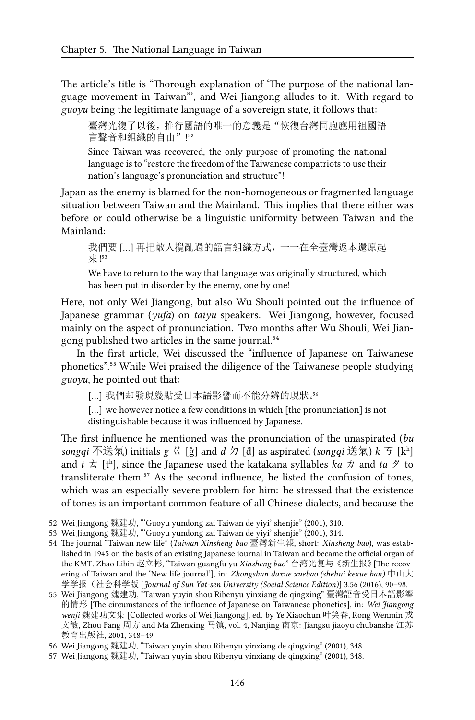The article's title is "Thorough explanation of 'The purpose of the national language movement in Taiwan"', and Wei Jiangong alludes to it. With regard to *guoyu* being the legitimate language of a sovereign state, it follows that:

臺灣光復了以後,推行國語的唯一的意義是"恢復台灣同胞應用祖國語 言聲音和組織的自由"!52

Since Taiwan was recovered, the only purpose of promoting the national language is to "restore the freedom of the Taiwanese compatriots to use their nation's language's pronunciation and structure"!

Japan as the enemy is blamed for the non-homogeneous or fragmented language situation between Taiwan and the Mainland. This implies that there either was before or could otherwise be a linguistic uniformity between Taiwan and the Mainland:

我們要 […] 再把敵人攪亂過的語言組織方式,一一在全臺灣返本還原起 來 !53

We have to return to the way that language was originally structured, which has been put in disorder by the enemy, one by one!

Here, not only Wei Jiangong, but also Wu Shouli pointed out the influence of Japanese grammar (*yufa*) on *taiyu* speakers. Wei Jiangong, however, focused mainly on the aspect of pronunciation. Two months after Wu Shouli, Wei Jiangong published two articles in the same journal.<sup>54</sup>

In the first article, Wei discussed the "influence of Japanese on Taiwanese phonetics".<sup>55</sup> While Wei praised the diligence of the Taiwanese people studying *guoyu*, he pointed out that:

[…] 我們却發現幾點受日本語影響而不能分辨的現狀。

[...] we however notice a few conditions in which [the pronunciation] is not distinguishable because it was influenced by Japanese.

The first influence he mentioned was the pronunciation of the unaspirated (*bu songqi* 不送氣) initials *g* ㄍ [g̊] and *d* ㄉ [d̊] as aspirated (*songqi* 送氣) *k* ㄎ [kʰ] and  $t \nightharpoonup$  [t<sup>h</sup>], since the Japanese used the katakana syllables *ka*  $\pi$  and *ta*  $\vartheta$  to transliterate them. $57$  As the second influence, he listed the confusion of tones, which was an especially severe problem for him: he stressed that the existence of tones is an important common feature of all Chinese dialects, and because the

<sup>52</sup> Wei Jiangong 魏建功, "'Guoyu yundong zai Taiwan de yiyi' shenjie" (2001), 310.

<sup>53</sup> Wei Jiangong 魏建功, "'Guoyu yundong zai Taiwan de yiyi' shenjie" (2001), 314.

<sup>54</sup> The journal "Taiwan new life" (*Taiwan Xinsheng bao* 臺灣新生報, short: *Xinsheng bao*), was established in 1945 on the basis of an existing Japanese journal in Taiwan and became the official organ of the KMT. Zhao Libin 赵立彬, "Taiwan guangfu yu *Xinsheng bao*" 台湾光复与《新生报》[The recovering of Taiwan and the 'New life journal'], in: *Zhongshan daxue xuebao (shehui kexue ban)* 中山大 学学报(社会科学版 [*Journal of Sun Yat-sen University (Social Science Edition)*] 3.56 (2016), 90–98.

<sup>55</sup> Wei Jiangong 魏建功, "Taiwan yuyin shou Ribenyu yinxiang de qingxing" 臺灣語音受日本語影響 的情形 [The circumstances of the influence of Japanese on Taiwanese phonetics], in: *Wei Jiangong wenji* 魏建功文集 [Collected works of Wei Jiangong], ed. by Ye Xiaochun 叶笑春, Rong Wenmin 戎 文敏, Zhou Fang 周方 and Ma Zhenxing 马镇, vol. 4, Nanjing 南京: Jiangsu jiaoyu chubanshe 江苏 教育出版社, 2001, 348–49.

<sup>56</sup> Wei Jiangong 魏建功, "Taiwan yuyin shou Ribenyu yinxiang de qingxing" (2001), 348.

<sup>57</sup> Wei Jiangong 魏建功, "Taiwan yuyin shou Ribenyu yinxiang de qingxing" (2001), 348.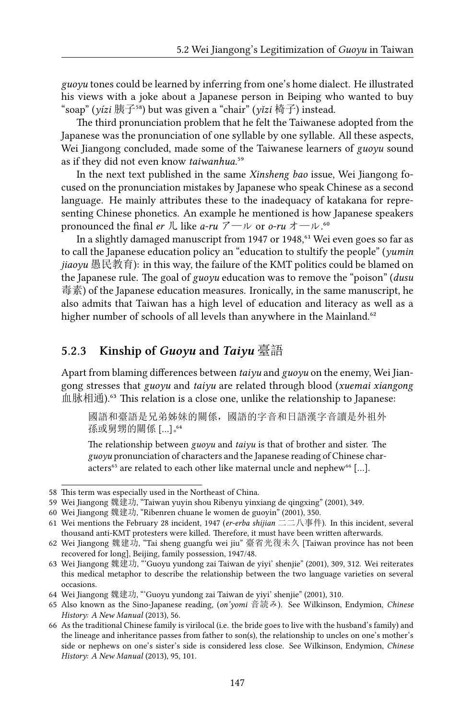*guoyu* tones could be learned by inferring from one's home dialect. He illustrated his views with a joke about a Japanese person in Beiping who wanted to buy "soap" (*yízi* 胰子⁵⁸) but was given a "chair" (*yǐzi* 椅子) instead.

The third pronunciation problem that he felt the Taiwanese adopted from the Japanese was the pronunciation of one syllable by one syllable. All these aspects, Wei Jiangong concluded, made some of the Taiwanese learners of *guoyu* sound as if they did not even know *taiwanhua*.<sup>59</sup>

In the next text published in the same *Xinsheng bao* issue, Wei Jiangong focused on the pronunciation mistakes by Japanese who speak Chinese as a second language. He mainly attributes these to the inadequacy of katakana for representing Chinese phonetics. An example he mentioned is how Japanese speakers pronounced the final *er* 儿 like *a-ru* アール or *o-ru* オール.<sup>60</sup>

In a slightly damaged manuscript from 1947 or 1948,<sup>61</sup> Wei even goes so far as to call the Japanese education policy an "education to stultify the people" (*yumin jiaoyu* 愚民教育): in this way, the failure of the KMT politics could be blamed on the Japanese rule. The goal of *guoyu* education was to remove the "poison" (*dusu* 毒素) of the Japanese education measures. Ironically, in the same manuscript, he also admits that Taiwan has a high level of education and literacy as well as a higher number of schools of all levels than anywhere in the Mainland.<sup>62</sup>

#### **5.2.3 Kinship of** *Guoyu* **and** *Taiyu* 臺語

Apart from blaming differences between *taiyu* and *guoyu* on the enemy, Wei Jiangong stresses that *guoyu* and *taiyu* are related through blood (*xuemai xiangong* 血脉相通).<sup>63</sup> This relation is a close one, unlike the relationship to Japanese:

國語和臺語是兄弟姊妹的關係,國語的字音和日語漢字音讀是外祖外 孫或舅甥的關係 […]。

The relationship between *guoyu* and *taiyu* is that of brother and sister. The *guoyu* pronunciation of characters and the Japanese reading of Chinese characters<sup>65</sup> are related to each other like maternal uncle and nephew<sup>66</sup> [...].

<sup>58</sup> This term was especially used in the Northeast of China.

<sup>59</sup> Wei Jiangong 魏建功, "Taiwan yuyin shou Ribenyu yinxiang de qingxing" (2001), 349.

<sup>60</sup> Wei Jiangong 魏建功, "Ribenren chuane le women de guoyin" (2001), 350.

<sup>61</sup> Wei mentions the February 28 incident, 1947 (*er-erba shijian* 二二八事件). In this incident, several thousand anti-KMT protesters were killed. Therefore, it must have been written afterwards.

<sup>62</sup> Wei Jiangong 魏建功, "Tai sheng guangfu wei jiu" 臺省光復未久 [Taiwan province has not been recovered for long], Beijing, family possession, 1947/48.

<sup>63</sup> Wei Jiangong 魏建功, "'Guoyu yundong zai Taiwan de yiyi' shenjie" (2001), 309, 312. Wei reiterates this medical metaphor to describe the relationship between the two language varieties on several occasions.

<sup>64</sup> Wei Jiangong 魏建功, "'Guoyu yundong zai Taiwan de yiyi' shenjie" (2001), 310.

<sup>65</sup> Also known as the Sino-Japanese reading, (*on'yomi* 音読み). See Wilkinson, Endymion, *Chinese History: A New Manual* (2013), 56.

<sup>66</sup> As the traditional Chinese family is virilocal (i.e. the bride goes to live with the husband's family) and the lineage and inheritance passes from father to son(s), the relationship to uncles on one's mother's side or nephews on one's sister's side is considered less close. See Wilkinson, Endymion, *Chinese History: A New Manual* (2013), 95, 101.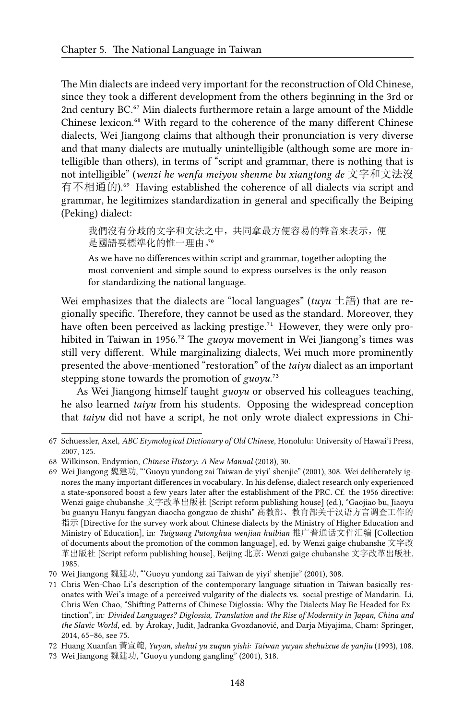The Min dialects are indeed very important for the reconstruction of Old Chinese, since they took a different development from the others beginning in the 3rd or 2nd century BC.<sup>67</sup> Min dialects furthermore retain a large amount of the Middle Chinese lexicon.<sup>68</sup> With regard to the coherence of the many different Chinese dialects, Wei Jiangong claims that although their pronunciation is very diverse and that many dialects are mutually unintelligible (although some are more intelligible than others), in terms of "script and grammar, there is nothing that is not intelligible" (*wenzi he wenfa meiyou shenme bu xiangtong de* 文字和文法沒 有不相通的).<sup>69</sup> Having established the coherence of all dialects via script and grammar, he legitimizes standardization in general and specifically the Beiping (Peking) dialect:

我們沒有分歧的文字和文法之中,共同拿最方便容易的聲音來表示,便 是國語要標準化的惟一理由。"

As we have no differences within script and grammar, together adopting the most convenient and simple sound to express ourselves is the only reason for standardizing the national language.

Wei emphasizes that the dialects are "local languages" ( $tuvu \pm \frac{2\pi}{100}$ ) that are regionally specific. Therefore, they cannot be used as the standard. Moreover, they have often been perceived as lacking prestige.<sup>71</sup> However, they were only prohibited in Taiwan in 1956.<sup>72</sup> The *guoyu* movement in Wei Jiangong's times was still very different. While marginalizing dialects, Wei much more prominently presented the above-mentioned "restoration" of the *taiyu* dialect as an important stepping stone towards the promotion of  $g u o y u$ .<sup>73</sup>

As Wei Jiangong himself taught *guoyu* or observed his colleagues teaching, he also learned *taiyu* from his students. Opposing the widespread conception that *taiyu* did not have a script, he not only wrote dialect expressions in Chi-

<sup>67</sup> Schuessler, Axel, *ABC Etymological Dictionary of Old Chinese*, Honolulu: University of Hawai'i Press, 2007, 125.

<sup>68</sup> Wilkinson, Endymion, *Chinese History: A New Manual* (2018), 30.

<sup>69</sup> Wei Jiangong 魏建功, "'Guoyu yundong zai Taiwan de yiyi' shenjie" (2001), 308. Wei deliberately ignores the many important differences in vocabulary. In his defense, dialect research only experienced a state-sponsored boost a few years later after the establishment of the PRC. Cf. the 1956 directive: Wenzi gaige chubanshe 文字改革出版社 [Script reform publishing house] (ed.), "Gaojiao bu, Jiaoyu bu guanyu Hanyu fangyan diaocha gongzuo de zhishi" 高教部、教育部关于汉语方言调查工作的 指示 [Directive for the survey work about Chinese dialects by the Ministry of Higher Education and Ministry of Education], in: *Tuiguang Putonghua wenjian huibian* 推广普通话文件汇编 [Collection of documents about the promotion of the common language], ed. by Wenzi gaige chubanshe 文字改 革出版社 [Script reform publishing house], Beijing 北京: Wenzi gaige chubanshe 文字改革出版社, 1985.

<sup>70</sup> Wei Jiangong 魏建功, "'Guoyu yundong zai Taiwan de yiyi' shenjie" (2001), 308.

<sup>71</sup> Chris Wen-Chao Li's description of the contemporary language situation in Taiwan basically resonates with Wei's image of a perceived vulgarity of the dialects vs. social prestige of Mandarin. Li, Chris Wen-Chao, "Shifting Patterns of Chinese Diglossia: Why the Dialects May Be Headed for Extinction", in: *Divided Languages? Diglossia, Translation and the Rise of Modernity in Japan, China and the Slavic World*, ed. by Árokay, Judit, Jadranka Gvozdanović, and Darja Miyajima, Cham: Springer, 2014, 65–86, see 75.

<sup>72</sup> Huang Xuanfan 黃宣範, *Yuyan, shehui yu zuqun yishi: Taiwan yuyan shehuixue de yanjiu* (1993), 108.

<sup>73</sup> Wei Jiangong 魏建功, "Guoyu yundong gangling" (2001), 318.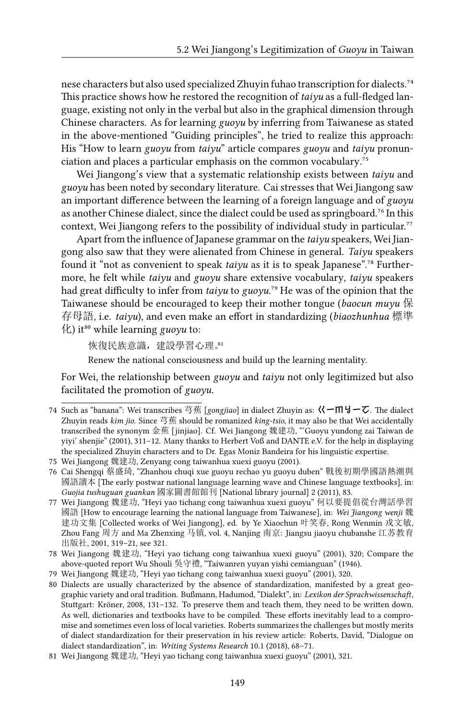nese characters but also used specialized Zhuyin fuhao transcription for dialects.<sup>74</sup> This practice shows how he restored the recognition of *taiyu* as a full-fledged language, existing not only in the verbal but also in the graphical dimension through Chinese characters. As for learning *guoyu* by inferring from Taiwanese as stated in the above-mentioned "Guiding principles", he tried to realize this approach: His "How to learn *guoyu* from *taiyu*" article compares *guoyu* and *taiyu* pronunciation and places a particular emphasis on the common vocabulary.<sup>75</sup>

Wei Jiangong's view that a systematic relationship exists between *taiyu* and *guoyu* has been noted by secondary literature. Cai stresses that Wei Jiangong saw an important difference between the learning of a foreign language and of *guoyu* as another Chinese dialect, since the dialect could be used as springboard.<sup>76</sup> In this context, Wei Jiangong refers to the possibility of individual study in particular.<sup>77</sup>

Apart from the influence of Japanese grammar on the *taiyu* speakers, Wei Jiangong also saw that they were alienated from Chinese in general. *Taiyu* speakers found it "not as convenient to speak *taiyu* as it is to speak Japanese".<sup>78</sup> Furthermore, he felt while *taiyu* and *guoyu* share extensive vocabulary, *taiyu* speakers had great difficulty to infer from *taiyu* to *guoyu*.<sup>79</sup> He was of the opinion that the Taiwanese should be encouraged to keep their mother tongue (*baocun muyu* 保 存母語, i.e. *taiyu*), and even make an effort in standardizing (*biaozhunhua* 標準 化) it⁸⁰ while learning *guoyu* to:

恢復民族意識,建設學習心理。

Renew the national consciousness and build up the learning mentality.

For Wei, the relationship between *guoyu* and *taiyu* not only legitimized but also facilitated the promotion of *guoyu*.

<sup>74</sup> Such as "banana": Wei transcribes 芎蕉 [*gongjiao*] in dialect Zhuyin as: ㄍㄧㆬㆢㄧㆦ. The dialect Zhuyin reads *kim jio*. Since 芎蕉 should be romanized *king-tsio*, it may also be that Wei accidentally transcribed the synonym 金蕉 [jinjiao]. Cf. Wei Jiangong 魏建功, "'Guoyu yundong zai Taiwan de yiyi' shenjie" (2001), 311–12. Many thanks to Herbert Voß and DANTE e.V. for the help in displaying the specialized Zhuyin characters and to Dr. Egas Moniz Bandeira for his linguistic expertise.

<sup>75</sup> Wei Jiangong 魏建功, Zenyang cong taiwanhua xuexi guoyu (2001).

<sup>76</sup> Cai Shengqi 蔡盛琦, "Zhanhou chuqi xue guoyu rechao yu guoyu duben" 戰後初期學國語熱潮與 國語讀本 [The early postwar national language learning wave and Chinese language textbooks], in: *Guojia tushuguan guankan* 國家圖書館館刊 [National library journal] 2 (2011), 83.

<sup>77</sup> Wei Jiangong 魏建功, "Heyi yao tichang cong taiwanhua xuexi guoyu" 何以要提倡從台灣話學習 國語 [How to encourage learning the national language from Taiwanese], in: *Wei Jiangong wenji* 魏 建功文集 [Collected works of Wei Jiangong], ed. by Ye Xiaochun 叶笑春, Rong Wenmin 戎文敏, Zhou Fang 周方 and Ma Zhenxing 马镇, vol. 4, Nanjing 南京: Jiangsu jiaoyu chubanshe 江苏教育 出版社, 2001, 319–21, see 321.

<sup>78</sup> Wei Jiangong 魏建功, "Heyi yao tichang cong taiwanhua xuexi guoyu" (2001), 320; Compare the above-quoted report Wu Shouli 吳守禮, "Taiwanren yuyan yishi cemianguan" (1946).

<sup>79</sup> Wei Jiangong 魏建功, "Heyi yao tichang cong taiwanhua xuexi guoyu" (2001), 320.

<sup>80</sup> Dialects are usually characterized by the absence of standardization, manifested by a great geographic variety and oral tradition. Bußmann, Hadumod, "Dialekt", in: *Lexikon der Sprachwissenschaft*, Stuttgart: Kröner, 2008, 131–132. To preserve them and teach them, they need to be written down. As well, dictionaries and textbooks have to be compiled. These efforts inevitably lead to a compromise and sometimes even loss of local varieties. Roberts summarizes the challenges but mostly merits of dialect standardization for their preservation in his review article: Roberts, David, "Dialogue on dialect standardization", in: *Writing Systems Research* 10.1 (2018), 68–71.

<sup>81</sup> Wei Jiangong 魏建功, "Heyi yao tichang cong taiwanhua xuexi guoyu" (2001), 321.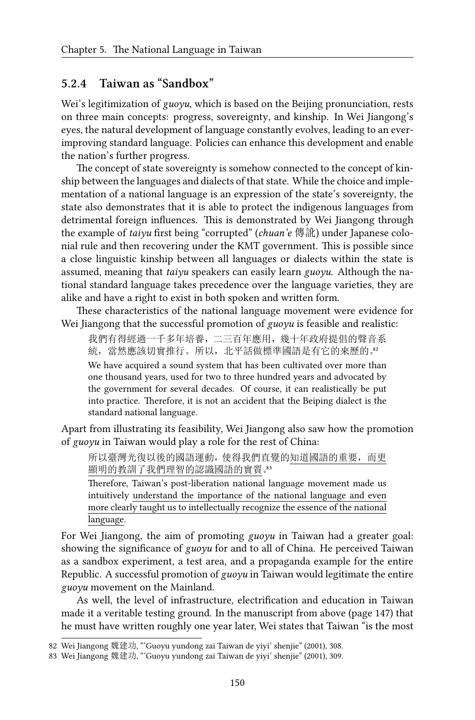#### **5.2.4 Taiwan as "Sandbox"**

Wei's legitimization of *guoyu*, which is based on the Beijing pronunciation, rests on three main concepts: progress, sovereignty, and kinship. In Wei Jiangong's eyes, the natural development of language constantly evolves, leading to an everimproving standard language. Policies can enhance this development and enable the nation's further progress.

The concept of state sovereignty is somehow connected to the concept of kinship between the languages and dialects of that state. While the choice and implementation of a national language is an expression of the state's sovereignty, the state also demonstrates that it is able to protect the indigenous languages from detrimental foreign influences. This is demonstrated by Wei Jiangong through the example of *taiyu* first being "corrupted" (*chuan'e* 傳訛) under Japanese colonial rule and then recovering under the KMT government. This is possible since a close linguistic kinship between all languages or dialects within the state is assumed, meaning that *taiyu* speakers can easily learn *guoyu*. Although the national standard language takes precedence over the language varieties, they are alike and have a right to exist in both spoken and written form.

These characteristics of the national language movement were evidence for Wei Jiangong that the successful promotion of *guoyu* is feasible and realistic:

我們有得經過一千多年培養,二三百年應用,幾十年政府提倡的聲音系 統,當然應該切實推行。所以,北平話做標準國語是有它的來歷的。

We have acquired a sound system that has been cultivated over more than one thousand years, used for two to three hundred years and advocated by the government for several decades. Of course, it can realistically be put into practice. Therefore, it is not an accident that the Beiping dialect is the standard national language.

Apart from illustrating its feasibility, Wei Jiangong also saw how the promotion of *guoyu* in Taiwan would play a role for the rest of China:

所以臺灣光復以後的國語運動,使得我們直覺的知道國語的重要,而更 顯明的教訓了我們理智的認識國語的實質。

Therefore, Taiwan's post-liberation national language movement made us intuitively understand the importance of the national language and even more clearly taught us to intellectually recognize the essence of the national language.

For Wei Jiangong, the aim of promoting *guoyu* in Taiwan had a greater goal: showing the significance of *guoyu* for and to all of China. He perceived Taiwan as a sandbox experiment, a test area, and a propaganda example for the entire Republic. A successful promotion of *guoyu* in Taiwan would legitimate the entire *guoyu* movement on the Mainland.

As well, the level of infrastructure, electrification and education in Taiwan made it a veritable testing ground. In the manuscript from above (page 147) that he must have written roughly one year later, Wei states that Taiwan "is the most

<sup>82</sup> Wei Jiangong 魏建功, "'Guoyu yundong zai Taiwan de yiyi' shenjie" (2001), 308.

<sup>83</sup> Wei Jiangong 魏建功, "'Guoyu yundong zai Taiwan de yiyi' shenjie" (2001), 309.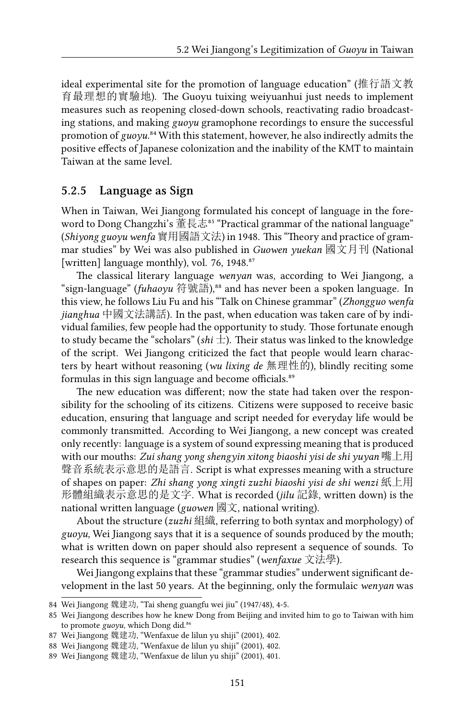ideal experimental site for the promotion of language education" (推行語文教 育最理想的實驗地). The Guoyu tuixing weiyuanhui just needs to implement measures such as reopening closed-down schools, reactivating radio broadcasting stations, and making *guoyu* gramophone recordings to ensure the successful promotion of  $g u o \gamma u$ .<sup>84</sup> With this statement, however, he also indirectly admits the positive effects of Japanese colonization and the inability of the KMT to maintain Taiwan at the same level.

#### **5.2.5 Language as Sign**

When in Taiwan, Wei Jiangong formulated his concept of language in the foreword to Dong Changzhi's 董長志<sup>85</sup> "Practical grammar of the national language" (*Shiyong guoyu wenfa* 實用國語文法) in 1948. This "Theory and practice of grammar studies" by Wei was also published in *Guowen yuekan* 國文月刊 (National [written] language monthly), vol. 76, 1948.<sup>87</sup>

The classical literary language *wenyan* was, according to Wei Jiangong, a "sign-language" (*fuhaoyu* 符號語),⁸⁸ and has never been a spoken language. In this view, he follows Liu Fu and his "Talk on Chinese grammar" (*Zhongguo wenfa jianghua* 中國文法講話). In the past, when education was taken care of by individual families, few people had the opportunity to study. Those fortunate enough to study became the "scholars" (*shi* 士). Their status was linked to the knowledge of the script. Wei Jiangong criticized the fact that people would learn characters by heart without reasoning (*wu lixing de* 無理性的), blindly reciting some formulas in this sign language and become officials.<sup>89</sup>

The new education was different; now the state had taken over the responsibility for the schooling of its citizens. Citizens were supposed to receive basic education, ensuring that language and script needed for everyday life would be commonly transmitted. According to Wei Jiangong, a new concept was created only recently: language is a system of sound expressing meaning that is produced with our mouths: *Zui shang yong shengyin xitong biaoshi yisi de shi yuyan* 嘴上用 聲音系統表示意思的是語言. Script is what expresses meaning with a structure of shapes on paper: *Zhi shang yong xingti zuzhi biaoshi yisi de shi wenzi* 紙上用 形體組織表示意思的是文字. What is recorded (*jilu* 記錄, written down) is the national written language (*guowen* 國文, national writing).

About the structure (*zuzhi* 組織, referring to both syntax and morphology) of *guoyu*, Wei Jiangong says that it is a sequence of sounds produced by the mouth; what is written down on paper should also represent a sequence of sounds. To research this sequence is "grammar studies" (*wenfaxue* 文法學).

Wei Jiangong explains that these "grammar studies" underwent significant development in the last 50 years. At the beginning, only the formulaic *wenyan* was

<sup>84</sup> Wei Jiangong 魏建功, "Tai sheng guangfu wei jiu" (1947/48), 4-5.

<sup>85</sup> Wei Jiangong describes how he knew Dong from Beijing and invited him to go to Taiwan with him to promote *guoyu*, which Dong did.<sup>86</sup>

<sup>87</sup> Wei Jiangong 魏建功, "Wenfaxue de lilun yu shiji" (2001), 402.

<sup>88</sup> Wei Jiangong 魏建功, "Wenfaxue de lilun yu shiji" (2001), 402.

<sup>89</sup> Wei Jiangong 魏建功, "Wenfaxue de lilun yu shiji" (2001), 401.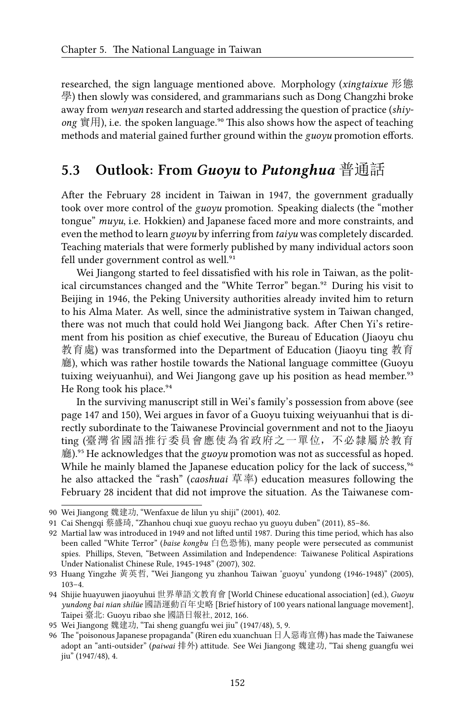researched, the sign language mentioned above. Morphology (*xingtaixue* 形態 學) then slowly was considered, and grammarians such as Dong Changzhi broke away from *wenyan* research and started addressing the question of practice (*shiy* $o$ ng  $\hat{\mathbb{F}}$  =  $\hat{E}$  =  $\hat{E}$  =  $\hat{E}$  anguage.<sup>90</sup> This also shows how the aspect of teaching methods and material gained further ground within the *guoyu* promotion efforts.

## **5.3 Outlook: From** *Guoyu* **to** *Putonghua* 普通話

After the February 28 incident in Taiwan in 1947, the government gradually took over more control of the *guoyu* promotion. Speaking dialects (the "mother tongue" *muyu*, i.e. Hokkien) and Japanese faced more and more constraints, and even the method to learn *guoyu* by inferring from *taiyu* was completely discarded. Teaching materials that were formerly published by many individual actors soon fell under government control as well.<sup>91</sup>

Wei Jiangong started to feel dissatisfied with his role in Taiwan, as the political circumstances changed and the "White Terror" began.<sup>92</sup> During his visit to Beijing in 1946, the Peking University authorities already invited him to return to his Alma Mater. As well, since the administrative system in Taiwan changed, there was not much that could hold Wei Jiangong back. After Chen Yi's retirement from his position as chief executive, the Bureau of Education (Jiaoyu chu 教育處) was transformed into the Department of Education (Jiaoyu ting 教育 廳), which was rather hostile towards the National language committee (Guoyu tuixing weiyuanhui), and Wei Jiangong gave up his position as head member.<sup>93</sup> He Rong took his place.<sup>94</sup>

In the surviving manuscript still in Wei's family's possession from above (see page 147 and 150), Wei argues in favor of a Guoyu tuixing weiyuanhui that is directly subordinate to the Taiwanese Provincial government and not to the Jiaoyu ting (臺灣省國語推行委員會應使為省政府之一單位,不必隸屬於教育 廳).⁹⁵ He acknowledges that the *guoyu* promotion was not as successful as hoped. While he mainly blamed the Japanese education policy for the lack of success,<sup>96</sup> he also attacked the "rash" (*caoshuai* 草率) education measures following the February 28 incident that did not improve the situation. As the Taiwanese com-

<sup>90</sup> Wei Jiangong 魏建功, "Wenfaxue de lilun yu shiji" (2001), 402.

<sup>91</sup> Cai Shengqi 蔡盛琦, "Zhanhou chuqi xue guoyu rechao yu guoyu duben" (2011), 85–86.

<sup>92</sup> Martial law was introduced in 1949 and not lifted until 1987. During this time period, which has also been called "White Terror" (*baise kongbu* 白色恐怖), many people were persecuted as communist spies. Phillips, Steven, "Between Assimilation and Independence: Taiwanese Political Aspirations Under Nationalist Chinese Rule, 1945-1948" (2007), 302.

<sup>93</sup> Huang Yingzhe 黃英哲, "Wei Jiangong yu zhanhou Taiwan 'guoyu' yundong (1946-1948)" (2005), 103–4.

<sup>94</sup> Shijie huayuwen jiaoyuhui 世界華語文教育會 [World Chinese educational association] (ed.), *Guoyu yundong bai nian shilüe* 國語運動百年史略 [Brief history of 100 years national language movement], Taipei 臺北: Guoyu ribao she 國語日報社, 2012, 166.

<sup>95</sup> Wei Jiangong 魏建功, "Tai sheng guangfu wei jiu" (1947/48), 5, 9.

<sup>96</sup> The "poisonous Japanese propaganda" (Riren edu xuanchuan 日人惡毒宣傳) has made the Taiwanese adopt an "anti-outsider" (*paiwai* 排外) attitude. See Wei Jiangong 魏建功, "Tai sheng guangfu wei jiu" (1947/48), 4.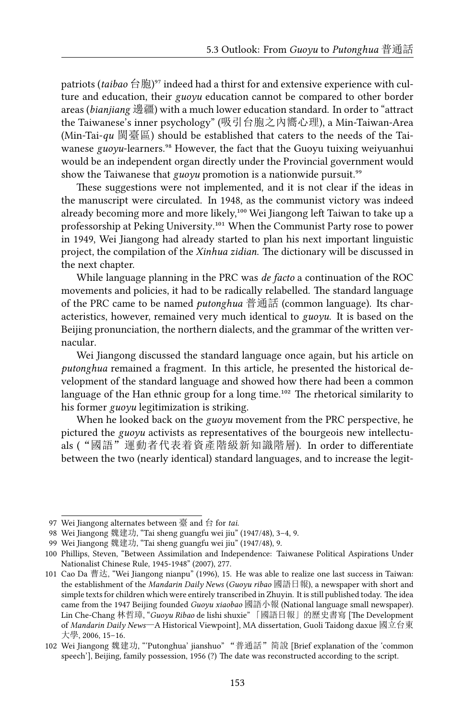patriots (*taibao* 台胞)<sup>97</sup> indeed had a thirst for and extensive experience with culture and education, their *guoyu* education cannot be compared to other border areas (*bianjiang* 邊疆) with a much lower education standard. In order to "attract the Taiwanese's inner psychology" (吸引台胞之內嚮心理), a Min-Taiwan-Area (Min-Tai-*qu* 閩臺區) should be established that caters to the needs of the Taiwanese *guoyu*-learners.<sup>98</sup> However, the fact that the Guoyu tuixing weiyuanhui would be an independent organ directly under the Provincial government would show the Taiwanese that *guoyu* promotion is a nationwide pursuit.<sup>99</sup>

These suggestions were not implemented, and it is not clear if the ideas in the manuscript were circulated. In 1948, as the communist victory was indeed already becoming more and more likely,<sup>100</sup> Wei Jiangong left Taiwan to take up a professorship at Peking University.<sup>101</sup> When the Communist Party rose to power in 1949, Wei Jiangong had already started to plan his next important linguistic project, the compilation of the *Xinhua zidian*. The dictionary will be discussed in the next chapter.

While language planning in the PRC was *de facto* a continuation of the ROC movements and policies, it had to be radically relabelled. The standard language of the PRC came to be named *putonghua* 普通話 (common language). Its characteristics, however, remained very much identical to *guoyu*. It is based on the Beijing pronunciation, the northern dialects, and the grammar of the written vernacular.

Wei Jiangong discussed the standard language once again, but his article on *putonghua* remained a fragment. In this article, he presented the historical development of the standard language and showed how there had been a common language of the Han ethnic group for a long time.<sup>102</sup> The rhetorical similarity to his former *guoyu* legitimization is striking.

When he looked back on the *guoyu* movement from the PRC perspective, he pictured the *guoyu* activists as representatives of the bourgeois new intellectuals ("國語"運動者代表着資產階級新知識階層). In order to differentiate between the two (nearly identical) standard languages, and to increase the legit-

<sup>97</sup> Wei Jiangong alternates between 臺 and 台 for *tai*.

<sup>98</sup> Wei Jiangong 魏建功, "Tai sheng guangfu wei jiu" (1947/48), 3–4, 9.

<sup>99</sup> Wei Jiangong 魏建功, "Tai sheng guangfu wei jiu" (1947/48), 9.

<sup>100</sup> Phillips, Steven, "Between Assimilation and Independence: Taiwanese Political Aspirations Under Nationalist Chinese Rule, 1945-1948" (2007), 277.

<sup>101</sup> Cao Da 曹达, "Wei Jiangong nianpu" (1996), 15. He was able to realize one last success in Taiwan: the establishment of the *Mandarin Daily News* (*Guoyu ribao* 國語日報), a newspaper with short and simple texts for children which were entirely transcribed in Zhuyin. It is still published today. The idea came from the 1947 Beijing founded *Guoyu xiaobao* 國語小報 (National language small newspaper). Lin Che-Chang 林哲璋, "*Guoyu Ribao* de lishi shuxie" 「國語日報」的歷史書寫 [The Development of *Mandarin Daily News*—A Historical Viewpoint], MA dissertation, Guoli Taidong daxue 國立台東 大學, 2006, 15–16.

<sup>102</sup> Wei Jiangong 魏建功, "'Putonghua' jianshuo" "普通話"简說 [Brief explanation of the 'common speech'], Beijing, family possession, 1956 (?) The date was reconstructed according to the script.